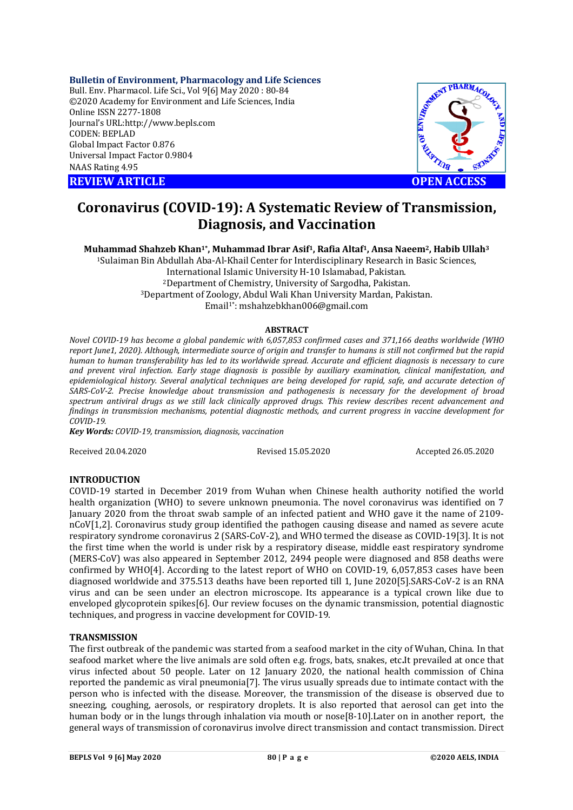# **Bulletin of Environment, Pharmacology and Life Sciences**

Bull. Env. Pharmacol. Life Sci., Vol 9[6] May 2020 : 80-84 ©2020 Academy for Environment and Life Sciences, India Online ISSN 2277-1808 Journal's URL:<http://www.bepls.com> CODEN: BEPLAD Global Impact Factor 0.876 Universal Impact Factor 0.9804 NAAS Rating 4.95

**REVIEW ARTICLE CONSUMING A REVIEW ARTICLE** 



# **Coronavirus (COVID-19): A Systematic Review of Transmission, Diagnosis, and Vaccination**

**Muhammad Shahzeb Khan1\*, Muhammad Ibrar Asif1, Rafia Altaf1, Ansa Naeem2, Habib Ullah<sup>3</sup>**

<sup>1</sup>Sulaiman Bin Abdullah Aba-Al-Khail Center for Interdisciplinary Research in Basic Sciences, International Islamic University H-10 Islamabad, Pakistan. <sup>2</sup>Department of Chemistry, University of Sargodha, Pakistan. <sup>3</sup>Department of Zoology, Abdul Wali Khan University Mardan, Pakistan. Email1\*: [mshahzebkhan006@gmail.com](mailto:mshahzebkhan006@gmail.com)

### **ABSTRACT**

*Novel COVID-19 has become a global pandemic with 6,057,853 confirmed cases and 371,166 deaths worldwide (WHO report June1, 2020). Although, intermediate source of origin and transfer to humans is still not confirmed but the rapid human to human transferability has led to its worldwide spread. Accurate and efficient diagnosis is necessary to cure and prevent viral infection. Early stage diagnosis is possible by auxiliary examination, clinical manifestation, and epidemiological history. Several analytical techniques are being developed for rapid, safe, and accurate detection of SARS-CoV-2. Precise knowledge about transmission and pathogenesis is necessary for the development of broad spectrum antiviral drugs as we still lack clinically approved drugs. This review describes recent advancement and findings in transmission mechanisms, potential diagnostic methods, and current progress in vaccine development for COVID-19.*

*Key Words: COVID-19, transmission, diagnosis, vaccination*

Received 20.04.2020 Revised 15.05.2020 Accepted 26.05.2020

# **INTRODUCTION**

COVID-19 started in December 2019 from Wuhan when Chinese health authority notified the world health organization (WHO) to severe unknown pneumonia. The novel coronavirus was identified on 7 January 2020 from the throat swab sample of an infected patient and WHO gave it the name of 2109 nCoV[1,2]. Coronavirus study group identified the pathogen causing disease and named as severe acute respiratory syndrome coronavirus 2 (SARS-CoV-2), and WHO termed the disease as COVID-19[3]. It is not the first time when the world is under risk by a respiratory disease, middle east respiratory syndrome (MERS-CoV) was also appeared in September 2012, 2494 people were diagnosed and 858 deaths were confirmed by WHO[4]. According to the latest report of WHO on COVID-19, 6,057,853 cases have been diagnosed worldwide and 375.513 deaths have been reported till 1, June 2020[5].SARS-CoV-2 is an RNA virus and can be seen under an electron microscope. Its appearance is a typical crown like due to enveloped glycoprotein spikes[6]. Our review focuses on the dynamic transmission, potential diagnostic techniques, and progress in vaccine development for COVID-19.

# **TRANSMISSION**

The first outbreak of the pandemic was started from a seafood market in the city of Wuhan, China. In that seafood market where the live animals are sold often e.g. frogs, bats, snakes, etc**.**It prevailed at once that virus infected about 50 people. Later on 12 January 2020, the national health commission of China reported the pandemic as viral pneumonia[7]. The virus usually spreads due to intimate contact with the person who is infected with the disease. Moreover, the transmission of the disease is observed due to sneezing, coughing, aerosols, or respiratory droplets. It is also reported that aerosol can get into the human body or in the lungs through inhalation via mouth or nose[8-10].Later on in another report, the general ways of transmission of coronavirus involve direct transmission and contact transmission. Direct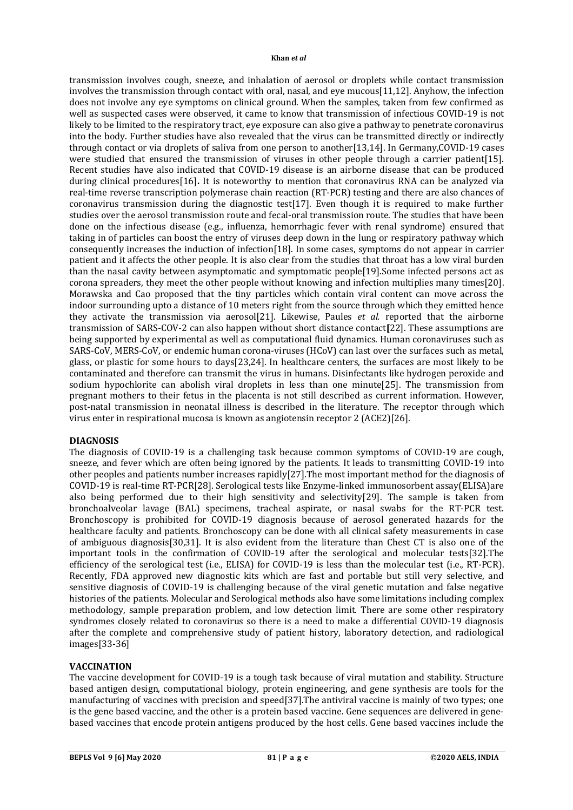# **Khan** *et al*

transmission involves cough, sneeze, and inhalation of aerosol or droplets while contact transmission involves the transmission through contact with oral, nasal, and eye mucous[11,12]. Anyhow, the infection does not involve any eye symptoms on clinical ground. When the samples, taken from few confirmed as well as suspected cases were observed, it came to know that transmission of infectious COVID-19 is not likely to be limited to the respiratory tract, eye exposure can also give a pathway to penetrate coronavirus into the body. Further studies have also revealed that the virus can be transmitted directly or indirectly through contact or via droplets of saliva from one person to another[13,14]. In Germany,COVID-19 cases were studied that ensured the transmission of viruses in other people through a carrier patient[15]. Recent studies have also indicated that COVID-19 disease is an airborne disease that can be produced during clinical procedures[16]**.** It is noteworthy to mention that coronavirus RNA can be analyzed via real-time reverse transcription polymerase chain reaction (RT-PCR) testing and there are also chances of coronavirus transmission during the diagnostic test[17]. Even though it is required to make further studies over the aerosol transmission route and fecal-oral transmission route. The studies that have been done on the infectious disease (e.g., influenza, hemorrhagic fever with renal syndrome) ensured that taking in of particles can boost the entry of viruses deep down in the lung or respiratory pathway which consequently increases the induction of infection[18]. In some cases, symptoms do not appear in carrier patient and it affects the other people. It is also clear from the studies that throat has a low viral burden than the nasal cavity between asymptomatic and symptomatic people[19].Some infected persons act as corona spreaders, they meet the other people without knowing and infection multiplies many times[20]. Morawska and Cao proposed that the tiny particles which contain viral content can move across the indoor surrounding upto a distance of 10 meters right from the source through which they emitted hence they activate the transmission via aerosol[21]. Likewise, Paules *et al.* reported that the airborne transmission of SARS-COV-2 can also happen without short distance contact**[**22]. These assumptions are being supported by experimental as well as computational fluid dynamics. Human coronaviruses such as SARS-CoV, MERS-CoV, or endemic human corona-viruses (HCoV) can last over the surfaces such as metal, glass, or plastic for some hours to days[23,24]. In healthcare centers, the surfaces are most likely to be contaminated and therefore can transmit the virus in humans. Disinfectants like hydrogen peroxide and sodium hypochlorite can abolish viral droplets in less than one minute[25]. The transmission from pregnant mothers to their fetus in the placenta is not still described as current information. However, post-natal transmission in neonatal illness is described in the literature. The receptor through which virus enter in respirational mucosa is known as angiotensin receptor 2 (ACE2)[26].

# **DIAGNOSIS**

The diagnosis of COVID-19 is a challenging task because common symptoms of COVID-19 are cough, sneeze, and fever which are often being ignored by the patients. It leads to transmitting COVID-19 into other peoples and patients number increases rapidly[27].The most important method for the diagnosis of COVID-19 is real-time RT-PCR[28]. Serological tests like Enzyme-linked immunosorbent assay(ELISA)are also being performed due to their high sensitivity and selectivity[29]. The sample is taken from bronchoalveolar lavage (BAL) specimens, tracheal aspirate, or nasal swabs for the RT-PCR test. Bronchoscopy is prohibited for COVID-19 diagnosis because of aerosol generated hazards for the healthcare faculty and patients. Bronchoscopy can be done with all clinical safety measurements in case of ambiguous diagnosis[30,31]. It is also evident from the literature than Chest CT is also one of the important tools in the confirmation of COVID-19 after the serological and molecular tests[32].The efficiency of the serological test (i.e., ELISA) for COVID-19 is less than the molecular test (i.e., RT-PCR). Recently, FDA approved new diagnostic kits which are fast and portable but still very selective, and sensitive diagnosis of COVID-19 is challenging because of the viral genetic mutation and false negative histories of the patients. Molecular and Serological methods also have some limitations including complex methodology, sample preparation problem, and low detection limit. There are some other respiratory syndromes closely related to coronavirus so there is a need to make a differential COVID-19 diagnosis after the complete and comprehensive study of patient history, laboratory detection, and radiological images[33-36]

# **VACCINATION**

The vaccine development for COVID-19 is a tough task because of viral mutation and stability. Structure based antigen design, computational biology, protein engineering, and gene synthesis are tools for the manufacturing of vaccines with precision and speed[37].The antiviral vaccine is mainly of two types; one is the gene based vaccine, and the other is a protein based vaccine. Gene sequences are delivered in genebased vaccines that encode protein antigens produced by the host cells. Gene based vaccines include the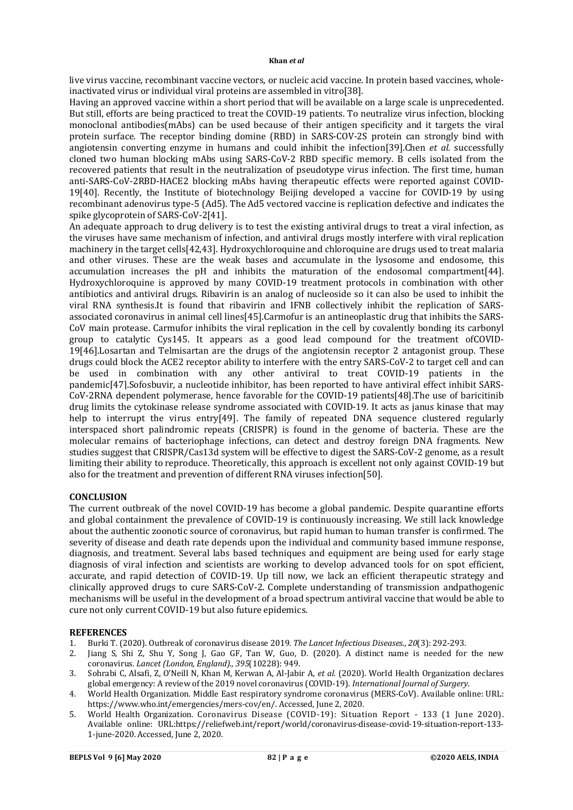live virus vaccine, recombinant vaccine vectors, or nucleic acid vaccine. In protein based vaccines, wholeinactivated virus or individual viral proteins are assembled in vitro[38].

Having an approved vaccine within a short period that will be available on a large scale is unprecedented. But still, efforts are being practiced to treat the COVID-19 patients. To neutralize virus infection, blocking monoclonal antibodies(mAbs) can be used because of their antigen specificity and it targets the viral protein surface. The receptor binding domine (RBD) in SARS-COV-2S protein can strongly bind with angiotensin converting enzyme in humans and could inhibit the infection[39].Chen *et al.* successfully cloned two human blocking mAbs using SARS-CoV-2 RBD specific memory. B cells isolated from the recovered patients that result in the neutralization of pseudotype virus infection. The first time, human anti-SARS-CoV-2RBD-HACE2 blocking mAbs having therapeutic effects were reported against COVID-19[40]. Recently, the Institute of biotechnology Beijing developed a vaccine for COVID-19 by using recombinant adenovirus type-5 (Ad5). The Ad5 vectored vaccine is replication defective and indicates the spike glycoprotein of SARS-CoV-2[41].

An adequate approach to drug delivery is to test the existing antiviral drugs to treat a viral infection, as the viruses have same mechanism of infection, and antiviral drugs mostly interfere with viral replication machinery in the target cells[42,43]. Hydroxychloroquine and chloroquine are drugs used to treat malaria and other viruses. These are the weak bases and accumulate in the lysosome and endosome, this accumulation increases the pH and inhibits the maturation of the endosomal compartment[44]. Hydroxychloroquine is approved by many COVID-19 treatment protocols in combination with other antibiotics and antiviral drugs. Ribavirin is an analog of nucleoside so it can also be used to inhibit the viral RNA synthesis.It is found that ribavirin and IFNB collectively inhibit the replication of SARSassociated coronavirus in animal cell lines[45].Carmofur is an antineoplastic drug that inhibits the SARS-CoV main protease. Carmufor inhibits the viral replication in the cell by covalently bonding its carbonyl group to catalytic Cys145. It appears as a good lead compound for the treatment ofCOVID-19[46].Losartan and Telmisartan are the drugs of the angiotensin receptor 2 antagonist group. These drugs could block the ACE2 receptor ability to interfere with the entry SARS-CoV-2 to target cell and can be used in combination with any other antiviral to treat COVID-19 patients in the pandemic[47].Sofosbuvir, a nucleotide inhibitor, has been reported to have antiviral effect inhibit SARS-CoV-2RNA dependent polymerase, hence favorable for the COVID-19 patients[48].The use of baricitinib drug limits the cytokinase release syndrome associated with COVID-19. It acts as janus kinase that may help to interrupt the virus entry[49]. The family of repeated DNA sequence clustered regularly interspaced short palindromic repeats (CRISPR) is found in the genome of bacteria. These are the molecular remains of bacteriophage infections, can detect and destroy foreign DNA fragments. New studies suggest that CRISPR/Cas13d system will be effective to digest the SARS-CoV-2 genome, as a result limiting their ability to reproduce. Theoretically, this approach is excellent not only against COVID-19 but also for the treatment and prevention of different RNA viruses infection[50].

# **CONCLUSION**

The current outbreak of the novel COVID-19 has become a global pandemic. Despite quarantine efforts and global containment the prevalence of COVID-19 is continuously increasing. We still lack knowledge about the authentic zoonotic source of coronavirus, but rapid human to human transfer is confirmed. The severity of disease and death rate depends upon the individual and community based immune response, diagnosis, and treatment. Several labs based techniques and equipment are being used for early stage diagnosis of viral infection and scientists are working to develop advanced tools for on spot efficient, accurate, and rapid detection of COVID-19. Up till now, we lack an efficient therapeutic strategy and clinically approved drugs to cure SARS-CoV-2. Complete understanding of transmission andpathogenic mechanisms will be useful in the development of a broad spectrum antiviral vaccine that would be able to cure not only current COVID-19 but also future epidemics.

# **REFERENCES**

- 1. Burki T. (2020). Outbreak of coronavirus disease 2019. *The Lancet Infectious Diseases.*, *20*(3): 292-293.
- 2. Jiang S, Shi Z, Shu Y, Song J, Gao GF, Tan W, Guo, D. (2020). A distinct name is needed for the new coronavirus. *Lancet (London, England).*, *395*(10228): 949.
- 3. Sohrabi C, Alsafi, Z, O'Neill N, Khan M, Kerwan A, Al-Jabir A, *et al.* (2020). World Health Organization declares global emergency: A review of the 2019 novel coronavirus (COVID-19). *International Journal of Surgery*.
- 4. World Health Organization. Middle East respiratory syndrome coronavirus (MERS-CoV). Available online: URL: <https://www.who.int/emergencies/mers-cov/en/.>Accessed, June 2, 2020.
- 5. World Health Organization. Coronavirus Disease (COVID-19): Situation Report 133 (1 June 2020). Available online: URL:<https://reliefweb.int/report/world/coronavirus-disease-covid-19-situation-report-133-> 1-june-2020. Accessed, June 2, 2020.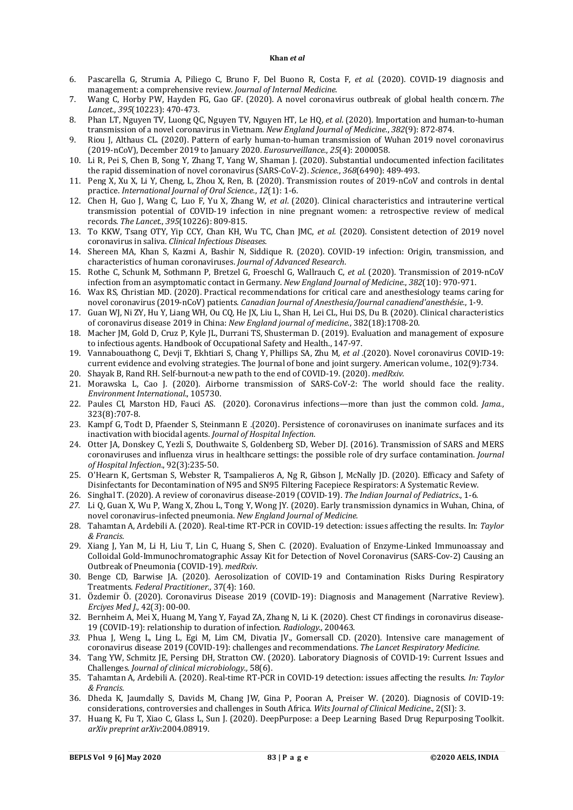#### **Khan** *et al*

- 6. Pascarella G, Strumia A, Piliego C, Bruno F, Del Buono R, Costa F, *et al.* (2020). COVID‐19 diagnosis and management: a comprehensive review. *Journal of Internal Medicine*.
- 7. Wang C, Horby PW, Hayden FG, Gao GF. (2020). A novel coronavirus outbreak of global health concern. *The Lancet.*, *395*(10223): 470-473.
- 8. Phan LT, Nguyen TV, Luong QC, Nguyen TV, Nguyen HT, Le HQ, *et al*. (2020). Importation and human-to-human transmission of a novel coronavirus in Vietnam. *New England Journal of Medicine.*, *382*(9): 872-874.
- 9. Riou J, Althaus CL. (2020). Pattern of early human-to-human transmission of Wuhan 2019 novel coronavirus (2019-nCoV), December 2019 to January 2020. *Eurosurveillance.*, *25*(4): 2000058.
- 10. Li R, Pei S, Chen B, Song Y, Zhang T, Yang W, Shaman J. (2020). Substantial undocumented infection facilitates the rapid dissemination of novel coronavirus (SARS-CoV-2). *Science.*, *368*(6490): 489-493.
- 11. Peng X, Xu X, Li Y, Cheng, L, Zhou X, Ren, B. (2020). Transmission routes of 2019-nCoV and controls in dental practice. *International Journal of Oral Science.*, *12*(1): 1-6.
- 12. Chen H, Guo J, Wang C, Luo F, Yu X, Zhang W, *et al*. (2020). Clinical characteristics and intrauterine vertical transmission potential of COVID-19 infection in nine pregnant women: a retrospective review of medical records. *The Lancet.*, *395*(10226): 809-815.
- 13. To KKW, Tsang OTY, Yip CCY, Chan KH, Wu TC, Chan JMC, *et al.* (2020). Consistent detection of 2019 novel coronavirus in saliva. *Clinical Infectious Diseases*.
- 14. Shereen MA, Khan S, Kazmi A, Bashir N, Siddique R. (2020). COVID-19 infection: Origin, transmission, and characteristics of human coronaviruses. *Journal of Advanced Research*.
- 15. Rothe C, Schunk M, Sothmann P, Bretzel G, Froeschl G, Wallrauch C, *et al.* (2020). Transmission of 2019-nCoV infection from an asymptomatic contact in Germany. *New England Journal of Medicine.*, *382*(10): 970-971.
- 16. Wax RS, Christian MD. (2020). Practical recommendations for critical care and anesthesiology teams caring for novel coronavirus (2019-nCoV) patients. *Canadian Journal of Anesthesia/Journal canadiend'anesthésie.*, 1-9.
- 17. Guan WJ, Ni ZY, Hu Y, Liang WH, Ou CQ, He JX, Liu L, Shan H, Lei CL, Hui DS, Du B. (2020). Clinical characteristics of coronavirus disease 2019 in China: *New England journal of medicine*., 382(18):1708-20.
- 18. Macher JM, Gold D, Cruz P, Kyle JL, Durrani TS, Shusterman D. (2019). Evaluation and management of exposure to infectious agents. Handbook of Occupational Safety and Health., 147-97.
- 19. Vannabouathong C, Devji T, Ekhtiari S, Chang Y, Phillips SA, Zhu M*, et al* .(2020). Novel coronavirus COVID-19: current evidence and evolving strategies. The Journal of bone and joint surgery. American volume., 102(9):734.
- 20. Shayak B, Rand RH. Self-burnout-a new path to the end of COVID-19. (2020). *medRxiv*.
- 21. Morawska L, Cao J. (2020). Airborne transmission of SARS-CoV-2: The world should face the reality. *Environment International*., 105730.
- 22. Paules CI, Marston HD, Fauci AS. (2020). Coronavirus infections—more than just the common cold. *Jama*., 323(8):707-8.
- 23. Kampf G, Todt D, Pfaender S, Steinmann E .(2020). Persistence of coronaviruses on inanimate surfaces and its inactivation with biocidal agents. *Journal of Hospital Infection*.
- 24. Otter JA, Donskey C, Yezli S, Douthwaite S, Goldenberg SD, Weber DJ. (2016). Transmission of SARS and MERS coronaviruses and influenza virus in healthcare settings: the possible role of dry surface contamination. *Journal of Hospital Infection*., 92(3):235-50.
- 25. O'Hearn K, Gertsman S, Webster R, Tsampalieros A, Ng R, Gibson J, McNally JD. (2020). Efficacy and Safety of Disinfectants for Decontamination of N95 and SN95 Filtering Facepiece Respirators: A Systematic Review.
- 26. Singhal T. (2020). A review of coronavirus disease-2019 (COVID-19). *The Indian Journal of Pediatrics*., 1-6.
- *27.* Li Q, Guan X, Wu P, Wang X, Zhou L, Tong Y, Wong JY. (2020). Early transmission dynamics in Wuhan, China, of novel coronavirus–infected pneumonia. *New England Journal of Medicine.*
- 28. Tahamtan A, Ardebili A. (2020). Real-time RT-PCR in COVID-19 detection: issues affecting the results. In: *Taylor & Francis*.
- 29. Xiang J, Yan M, Li H, Liu T, Lin C, Huang S, Shen C. (2020). Evaluation of Enzyme-Linked Immunoassay and Colloidal Gold-Immunochromatographic Assay Kit for Detection of Novel Coronavirus (SARS-Cov-2) Causing an Outbreak of Pneumonia (COVID-19). *medRxiv*.
- 30. Benge CD, Barwise JA. (2020). Aerosolization of COVID-19 and Contamination Risks During Respiratory Treatments. *Federal Practitioner.,* 37(4): 160.
- 31. Özdemir Ö. (2020). Coronavirus Disease 2019 (COVID-19): Diagnosis and Management (Narrative Review). *Erciyes Med J.,* 42(3): 00-00.
- 32. Bernheim A, Mei X, Huang M, Yang Y, Fayad ZA, Zhang N, Li K. (2020). Chest CT findings in coronavirus disease-19 (COVID-19): relationship to duration of infection. *Radiology.,* 200463.
- *33.* Phua J, Weng L, Ling L, Egi M, Lim CM, Divatia JV., Gomersall CD. (2020). Intensive care management of coronavirus disease 2019 (COVID-19): challenges and recommendations. *The Lancet Respiratory Medicine.*
- 34. Tang YW, Schmitz JE, Persing DH, Stratton CW. (2020). Laboratory Diagnosis of COVID-19: Current Issues and Challenges. *Journal of clinical microbiology.,* 58(6).
- 35. Tahamtan A, Ardebili A. (2020). Real-time RT-PCR in COVID-19 detection: issues affecting the results. *In: Taylor & Francis*.
- 36. Dheda K, Jaumdally S, Davids M, Chang JW, Gina P, Pooran A, Preiser W. (2020). Diagnosis of COVID-19: considerations, controversies and challenges in South Africa. *Wits Journal of Clinical Medicine.*, 2(SI): 3.
- 37. Huang K, Fu T, Xiao C, Glass L, Sun J. (2020). DeepPurpose: a Deep Learning Based Drug Repurposing Toolkit. *arXiv preprint arXiv*:2004.08919.